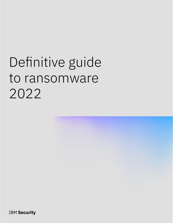# Definitive guide to ransomware 2022

**IBM Security**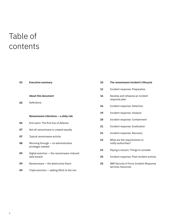# Table of contents

| 03 | <b>Executive summary</b>                                        | 10 | The ransomware incident's lifecycle                          |
|----|-----------------------------------------------------------------|----|--------------------------------------------------------------|
|    |                                                                 | 11 | Incident response: Preparation                               |
|    | <b>About this document</b>                                      | 16 | Develop and rehearse an incident<br>response plan            |
| 05 | Definitions                                                     | 16 | Incident response: Detection                                 |
|    | Ransomware infections - a daily risk                            | 19 | Incident response: Analysis                                  |
| 06 | End users: The first line of defense                            | 20 | Incident response: Containment                               |
| 07 | Not all ransomware is created equally                           | 21 | Incident response: Eradication                               |
| 07 | Typical ransomware activity                                     | 21 | Incident response: Recovery                                  |
| 08 | Worming through - no administrative                             | 23 | What are the requirements to<br>notify authorities?          |
| 09 | privileges needed<br>Digital extortion - the ransomware-induced | 23 | Paying a ransom: Things to consider                          |
|    | data breach                                                     | 25 | Incident response: Post-incident activity                    |
| 09 | Ransomware - the destructive flavor                             | 25 | IBM Security X-Force Incident Response<br>services resources |
| 09 | Triple extortion - adding DDoS to the mix                       |    |                                                              |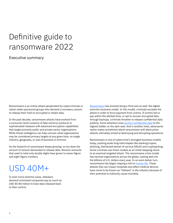# Definitive guide to ransomware 2022

### Executive summary

Ransomware is an online attack perpetrated by cybercriminals or nation state-sponsored groups who demand a monetary ransom to release their hold on encrypted or stolen data.

In the past decade, ransomware attacks have evolved from a consumer-level nuisance of fake antivirus products to sophisticated malware with advanced encryption capabilities that target primarily public and private sector organizations. While threat intelligence can help uncover what organizations may be considered primary targets at any given time, no single industry, geography, or size of business is immune.

As the footprint of ransomware keeps growing, so too does the amount of ransom demanded to release data. Ransom amounts that used to total only double digits have grown to seven-figure and eight-figure numbers.

# USD 40M+

In even more extreme cases, attackers demand victimized companies pay as much as USD 40-80 million to have data released back to their control.

[Ransomware](http://ibm.com/security/ransomware) has evolved along a third axis as well: the digital extortion business model. In this model, criminals escalate the attack in order to force payment from victims. If victims fail to pay within the allotted time, or opt to recover encrypted data through backups, criminals threaten to release confidential data publicly. Some attackers even [auction confidential data](https://www.zdnet.com/article/revil-ransomware-gang-launches-auction-site-to-sell-stolen-data/) to the highest bidder on the dark web. And in another twist, adversarial nation states sometimes blend ransomware with destructive attacks ultimately aimed at destroying and disrupting operations.

Ransomware is one of cybercrime's strongest business models today, pushing aside long-held staples like banking trojans, phishing, distributed denial-of-service (DDoS) and cryptojacking. Some criminals use those models as an initial stepping-stone to an eventual targeted attack. The ransomware crime model has harmed organizations across the globe, costing well into the billions of U.S. dollars every year. In an even darker turn, ransomware has begun reaping a toll on [human life](https://www.theverge.com/2020/9/17/21443851/death-ransomware-attack-hospital-germany-cybersecurity). These attacks that can impact hospitals and affect medical devices have come to be known as "killware" in the industry because of their potential to indirectly cause mortality.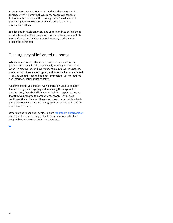As more ransomware attacks and variants rise every month, IBM Security® X-Force® believes ransomware will continue to threaten businesses in the coming years. This document provides guidance to organizations before and during a ransomware attack.

It's designed to help organizations understand the critical steps needed to protect their business before an attack can penetrate their defenses and achieve optimal recovery if adversaries breach the perimeter.

# The urgency of informed response

When a ransomware attack is discovered, the event can be jarring. Attackers still might be actively working on the attack when it's discovered, and every second counts. As time passes, more data and files are encrypted, and more devices are infected — driving up both cost and damage. Immediate, yet methodical and informed, action must be taken.

As a first action, you should involve and allow your IT security teams to begin investigating and assessing the stage of the attack. Then, they should launch the incident response process that they've prepared to combat ransomware. If you have confirmed the incident and have a retainer contract with a thirdparty provider, it's advisable to engage them at this point and get responders on site.

Other parties to consider contacting are [federal law enforcement](https://www.ic3.gov/Home/Ransomware) and regulators, depending on the local requirements for the geographies where your company operates.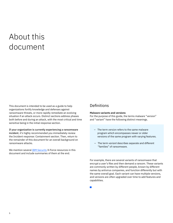# About this document

This document is intended to be used as a guide to help organizations fortify knowledge and defenses against ransomware threats, or more rapidly remediate an evolving situation if an attack occurs. Distinct sections address phases both before and during an attack, with the most critical and time sensitive being in the initial response section.

If your organization is currently experiencing a ransomware incident, it's highly recommended you immediately review the Incident response: Containment section. Then, return to the remainder of this document for an overall background on ransomware attacks.

We mention several **IBM** Security X-Force resources in this document and include summaries of them at the end.

### **Definitions**

#### **Malware variants and versions**

For the purpose of this guide, the terms malware "version" and "variant" have the following distinct meanings.

- The term *version* refers to the same malware program which encompasses newer or older versions of the same program with varying features.
- The term *variant* describes separate and different "families" of ransomware.

For example, there are several variants of ransomware that encrypt a user's files and then demand a ransom. These variants are commonly written by different people, known by different names by antivirus companies, and function differently but with the same overall goal. Each variant can have multiple versions, and versions are often upgraded over time to add features and capabilities.

 $\mathcal{L}_{\mathcal{A}}$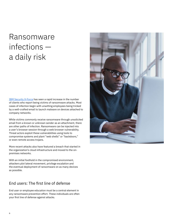# Ransomware infections a daily risk

[IBM Security X-Force](https://www.ibm.com/security/services/ibm-x-force-incident-response-and-intelligence) has seen a rapid increase in the number of clients who report being victims of ransomware attacks. Most cases of infection begin with unwitting employees being tricked by a well-crafted email to launch malware on devices attached to company networks.

While victims commonly receive ransomware through unsolicited email from a known or unknown sender as an attachment, there are other paths of infection. Ransomware can be injected into a user's browser session through a web browser vulnerability. Threat actors exploit these vulnerabilities using tools to compromise systems and plant "web shells" or "backdoors," or even remote access trojans.

More recent attacks also have featured a breach that started in the organization's cloud infrastructure and moved to the onpremises networks.

With an initial foothold in the compromised environment, attackers plot lateral movement, privilege escalation and the eventual deployment of ransomware on as many devices as possible.

# End users: The first line of defense

End user or employee education must be a central element in any ransomware prevention effort. These individuals are often your first line of defense against attacks.

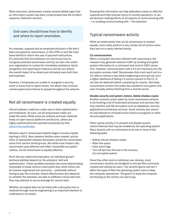When executed, ransomware creates several telltale signs that an information system has been compromised (see the Incident response: Detection section).

### End users should know how to identify and where to report anomalies.

For example, suppose that an employee discovers a file that's been encrypted by ransomware, or the HTML or text file most leave behind to inform the user of payment instructions. It's essential that the employee not only knows how to recognize potential ransomware activity, but also who within your organization to contact for immediate assistance. Quick recognition and reporting of malicious activity can reduce the overall impact of an attack and ultimately save both time and expenses.

However, if employees are unable to recognize a security event or know how to report issues, the attack may continue uninterrupted and continue to spread throughout the network.

# Not all ransomware is created equally

Like all malware, malicious codes vary in both sophistication and modularity. As such, not all ransomware codes are made the same. While some are ordinary and even obtained freely on open-source platforms and forums, others are highly sophisticated and operated exclusively by elite [cybercrime syndicates](https://www.forbes.com/sites/forbestechcouncil/2021/09/27/ransomware-gangs-who-are-they-and-how-to-stop-them/).

Malware used in ransomware attacks began to evolve rapidly starting in 2013. New malware families were created, and an influx of specialized malware developers joined the ransomware arena from various threat groups. But while most modern-day ransomware uses effective and often irreversible encryption ciphers, not all ransomware is equally effective.

Much like any cybercrime operation, an individual group's technical abilities depend on the attackers' skill and sophistication. These variables translate into some attacks being impossible to break without a decryption key, while others can be reverse-engineered and overcome — potentially without having to pay the criminals. Attack effectiveness also depends on whether the attackers are able to exfiltrate critical data that they may attempt to use as leverage for ransom later.

Whether encrypted data can be freed with a decryption key or resolved through reverse engineering is an important element to understand in an attack.

Knowing this information can help defenders create an effective response and help forecast return to normal operations. It can aid decision-making efforts on all aspects of communicating with  $-$  or avoiding communicating with  $-$  the attackers.

# Typical ransomware activity

While we noted earlier that not all ransomware is created equally, most codes perform a very similar list of actions when they land on a newly infected device.

#### **C2 communication**

When a computer becomes infected with ransomware, the malware may generate network traffic by sending encrypted system information to a command-and-control (C&C) server (C2). However, communication with a C2 isn't necessary for the encryption process itself. Ransomware that must reach out to a C2 node to retrieve a key before beginning to encrypt can incur a higher likelihood of failing if it cannot connect to the C2. It can also be detected before completing its mission. Normally, ransomware contains the public key needed for encryption and uses it locally without fetching from a remote server.

#### **Disable security and system restore, delete shadow copies**

Another common action taken by most ransomware variants is terminating a list of hardcoded processes and services that may interfere with file encryption such as databases, security applications and backup services. Some variants also search for and attempt to uninstall known antivirus programs or other security applications.

Other typical activity is to prevent and disable system restore features that may be enabled by the operating system. Many variants will run commands to do one or more of the following tasks:

- Delete volume shadow copies
- Wipe free space
- Clear event logs
- Turn off services that aid in the recovery of a corrupted system

Since they often land on individual user devices, most ransomware variants are designed to encrypt files commonly created and utilized by users. The variants ignore and don't affect the types of files the operating system uses to keep the computer operational. The goal is to keep the computer functioning so the victims can opt to pay.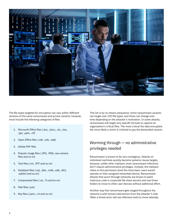

The file types targeted for encryption can vary within different versions of the same ransomware and across variants; however, most include the following categories of files:

- 1. Microsoft Office files (.doc, .docx, .xls, .xlsx, .ppt, .pptx, .rtf)
- 2. Open Office files (.odt, .ods, .odp)
- 3. Adobe PDF files
- 4. Popular image files (.JPG, .PNG, raw camera files and so on)
- 5. Text files (.txt, .RTF and so on)
- 6. Database files (.sql, .dba, .mdb, .odb,. db3, .sqlite3 and so on)
- 7. Compressed files (.rar, .7z and so on)
- 8. Mail files (.pst)
- 9. Key files (.pem, .crt and so on)

This list is by no means exhaustive. Some ransomware variants can target over 150 file types, and those can change over time depending on the attacker's motivation. In some attacks, ransomware will target very specific formats to capture an organization's critical files. The more critical the data encrypted, the more likely a victim is inclined to pay the demanded ransom.

# Worming through — no administrative privileges needed

Ransomware is known to be very contagious. Attacks on individual machines quickly become systemic issues largely because, unlike other malware, most ransomware infections don't require administrative privileges. Instead, the malware relies on the permission level the most basic users would operate on their assigned networked device. Ransomware attacks that worm through networks are known to plant malicious code in corporate file share servers and use those folders to move to other user devices without additional effort.

Another way that ransomware gets staged throughout the network is with human intervention from the attacker's side. Often a threat actor will use offensive tools to move laterally,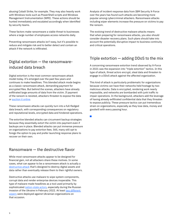abusing Cobalt Strike, for example. They may also heavily work with Windows tools such as PowerShell scripts and Windows Management Instrumentation (WMI). These actions should be hunted immediately and escalated accordingly when identified by security teams.

These factors make ransomware a viable threat to businesses where a large number of employees access networks daily.

Preventing ransomware attacks isn't easy, but it's possible to reduce and mitigate risk and to better detect and contain an attack if the network is infiltrated.

# Digital extortion — the ransomwareinduced data breach

Digital extortion is the most common ransomware attack model today. It's emerged over the past few years and continues to make headlines. This blended attack mode begins as a classic ransomware attack, demanding payment for encrypted files. But behind the scenes, attackers have already exfiltrated large amounts of data from the victim. If payment of the ransom is resisted, attackers threaten to expose the data or [auction it online.](https://www.zdnet.com/article/revil-ransomware-gang-launches-auction-site-to-sell-stolen-data/)

These ransomware attacks can quickly turn into a full-fledged data breach, with corresponding consequences on regulatory and reputational levels, encrypted data and hindered operations.

The extortive blended attacks can circumvent backup strategies because they essentially extort the victim into payment even if backups are in place. Blended attacks can put immense pressure on organizations to pay extortion fees. Still, many still opt to forego the option to pay and prefer launching response plans to recover on their own.

### Ransomware — the destructive flavor

While most ransomware attacks appear to be designed for financial gain, not all attackers share these motives. In some cases, what can appear to be a ransomware attack is actually a [destructive attack](https://securityintelligence.com/posts/from-state-sponsored-attackers-to-common-cybercriminals-destructive-attacks-on-the-rise/) that's designed to destroy digital assets and data rather than eventually release them to their rightful owners.

Destructive attacks use malware to wipe system components, corrupt data and render enterprise devices inoperable. This type of malware made headlines as a tool used primarily by sophisticated [nation-state actors](https://securityintelligence.com/posts/new-wiper-malware-used-against-ukranian-organizations/), especially during the Russian invasion of the Ukraine in February 2022. At least two different [wipers](https://securityintelligence.com/posts/new-destructive-malware-cyber-attacks-ukraine/) were deployed against Ukrainian organizations on that occasion.

Analysis of incident response data from IBM Security X-Force over the years has found such attacks are becoming more popular among cybercriminal attackers. Ransomware attacks including wiper elements increase the pressure on victims to pay the ransom.

The evolving trend of destructive malware attacks means that when preparing for ransomware attacks, you also should consider disaster recovery plans. Such plans should take into account the potentially disruptive impact to business continuity and critical operations.

# Triple extortion — adding DDoS to the mix

A concerning ransomware extortion trend observed by X-Force in 2021 was the expansion into "triple extortion" tactics. In this type of attack, threat actors encrypt, steal data and threaten to engage in a DDoS attack against the affected organization.

This kind of attack is particularly problematic for organizations because victims can have their networks held hostage by two malicious attacks. Data is encrypted, rendering work nearly impossible, and networks are bombarded with junk traffic to impair operations. In the background, attackers add the leverage of having already exfiltrated confidential data that they threaten to expose publicly. These pressure tactics can put tremendous strain on organizations, especially as they lose data, money and goodwill with every passing hour.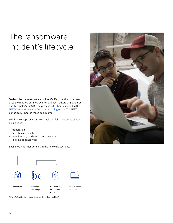# The ransomware incident's lifecycle

To describe the ransomware incident's lifecycle, this document uses the method outlined by the National Institute of Standards and Technology (NIST). The process is further described in the [NIST Computer Security Incident Handling Guide.](https://csrc.nist.gov/News/2020/data-integrity-sp-1800-25-and-sp-1800-26) The NIST periodically updates these documents.

Within the scope of an active attack, the following steps should be included:

- Preparation
- Detection and analysis
- Containment, eradication and recovery
- Post-incident activities

Each step is further detailed in the following sections.





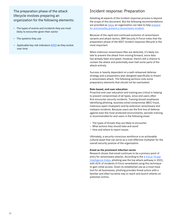### The preparation phase of the attack lifecycle involves preparing an organization for the following elements:

- The types of events and incidents they are most likely to encounter given their sector
- The systems they use
- Applicable key risk indicators  $(KRI)$  $(KRI)$  as they evolve over time

# Incident response: Preparation

Detailing all aspects of the incident response process is beyond the scope of this document. But the following recommendations are provided as [steps](https://www.ibm.com/case-studies/novaland/) an organization can take to help [prepare](https://www.ibm.com/case-studies/novaland/) [for and possibly prevent a ransomware incident.](https://www.ibm.com/case-studies/andritz/)

Because of the rapid and continued evolution of ransomware variants and attack tactics, IBM Security X-Force notes that the preparation phase of the NIST incident response lifecycle is the most important.

When malicious ransomware files are detected, it's likely too late to prevent the attack from moving forward, since data has already been encrypted. However, there's still a chance to contain the attack and potentially even halt some parts of the attack entirely.

Success is heavily dependent on a well-rehearsed defense strategy and a preparatory plan designed specifically to thwart a ransomware attack. The following sections note some preparatory elements that should not be overlooked.

#### **Role-based, end-user education**

Proactive end-user education and training are critical in helping to prevent compromises of all types, since end users often first encounter security incidents. Training should emphasize identifying phishing, business email compromise (BEC) fraud, malicious spam (malspam) and by extension ransomware and malware incidents. Because users are the first line of defense against even the most protected environments, periodic training is recommended for end users in the following areas:

- The types of threats they are likely to encounter
- What actions they should take and avoid
- How and where to report issues

Ultimately, a security-conscious workforce is an achievable cultural asset that can serve as a cost-effective multiplier for the overall security posture of the organization.

#### **Email as the prominent infection vector**

Research shows that email continues to be a primary point of entry for ransomware attacks. According to the X-Force Threat [Intelligence Index](https://www.ibm.com/security/data-breach/threat-intelligence), phishing was the top attack pathway in 2021, with 41% of incidents X-Force remediated using this technique to gain initial access. Given its established use as a must-have tool for all businesses, phishing provides threat actors with a familiar and often lucrative way to reach and launch attacks on potential victims.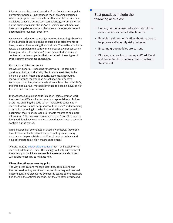Educate users about email security often. Consider a campaign performing periodic, unannounced mock phishing exercises where employees receive emails or attachments that simulate malicious behavior. During such campaigns, generating metrics on the number of users clicking on suspicious attachments or links can help demonstrate both current awareness status and document improvement over time.

A successful education campaign requires generating a baseline of the number of users clicking on suspicious attachments or links, followed by educating the workforce. Thereafter, conduct a follow-up campaign to quantify the increased awareness within the organization. Test campaigns can be created in-house or contracted out to companies that specialize in these types of cybersecurity awareness campaigns.

#### **Macros as an infection vector**

Malware in general — including ransomware — is commonly distributed inside productivity files that are least likely to be blocked by email filters and security systems. Distributing malware through macros is an established but effective technique. Used by cybercriminals since at least the mid-1990s, this traditional attack method continues to pose an elevated risk to users and company networks.

In most cases, malicious code is hidden inside common work tools, such as Office suite documents or spreadsheets. To lure users into enabling the code to run, malware is concealed in macros that will launch scripts without the users' understanding of what is happening in the background. When users open the document, they're encouraged to "enable macros to see more information." The macro in turn is set to use PowerShell scripts, fetch additional payloads and use tools that can bypass security controls during transit.

While macros can be enabled in trusted workflows, they don't have to be enabled for all activities. Disabling unnecessary macros can help establish an additional layer of defense and help deter potentially risky macro enablement.

Of note, in 2022 [Microsoft announced](https://techcommunity.microsoft.com/t5/microsoft-365-blog/helping-users-stay-safe-blocking-internet-macros-by-default-in/ba-p/3071805) that it will block internet macros by default in Office. This change will help curb some of the potency of malicious macros, but awareness and controls will still be necessary to mitigate risk.

#### **Misconfigurations as an entry point**

The way organizations manage identities, permissions and their active directory continue to impact how they're breached. Misconfigurations discovered by security teams before attackers find them is the optimal scenario, but they're often overlooked.

Best practices include the following activities:

- Holding continual user education about the risks of macros in email attachments
- Providing stricter notification about macros to help users self-identify risky behavior
- Ensuring group policies are current
- Blocking macros from running in Word, Excel and PowerPoint documents that come from the internet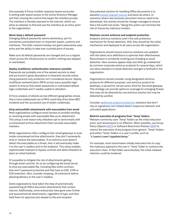One example X-Force incident response teams encounter is setting web-based access to the Active Directory Manager and then missing the control that keeps the interface private. The interface is thereby exposed to the internet, which can allow an attacker to find and use the interface as an entry point to the organization.

#### **Never keep a default password**

Changing default passwords seems elementary, yet it's sometimes overlooked even on important assets, systems and interfaces. This little-noticed misstep can grant adversaries easy entry and the ability to take over a pivotal point of access.

Make sure all default passwords are changed and run a regular check across the infrastructure to confirm nothing was skipped or overlooked.

#### **Deploy multifactor authentication whenever possible**

Passwords are probably one of the easiest secrets to steal and are found in great abundance in breached records online. Using password-only protection isn't considered secure. Deploy multifactor authentication (MFA) across every possible login system to ensure that stolen passwords or overlooked default login credentials aren't readily usable to attackers.

X-Force analysis of attacks across different geographies shows that a more widespread use of MFA could help drive down BEC incidents and the successful use of stolen credentials.

#### **Strip and prohibit attachments with executables from email**

Most organizations configure email servers to prohibit sending or receiving emails with executable files as an attachment. This setup is one reason why attackers opt to send emails with a compressed archive attachment that conceals executable malware.

While organizations often configure their email gateways to scan inside compressed archive attachments, they don't necessarily strip or remove the executables. If an antivirus scan doesn't detect the executable as a threat, then it will eventually make it to the user's mailbox and to the endpoint. This setup enables sophisticated malware to bypass controls and allow attackers to plant an initial foothold.

It's possible to mitigate the risk of attachments getting through email controls. Do so by configuring the email server to strip any executable file, including files within archives that aren't password protected and that have an EXE, COM or SCR extension. Also, consider stripping .JS extensions before allowing delivery to the user's mailbox.

Some organizations have taken the step of automatically quarantining all Office document attachments that contain macros. Additionally, some enterprises have gone even further and quarantined all attachments, regardless of type, and then held them for approval and release to the end recipient.

One potential solution for handling Office documents is to allowlist [trusted \(signed\) macros](https://www.cyber.gov.au/acsc/view-all-content/publications/microsoft-office-macro-security#:~:text=Microsoft%20Office%20applications%20allow%20developers,macro%20has%20not%20been%20altered.) and block all others. In scenarios where new business document macros need to be allowlisted, this activity should be change-managed to ensure that a full audit trail exists. Taking this action can minimize the risk of misuse by malicious insiders.

#### **Maintain current antivirus and endpoint protection**

Endpoint antivirus solutions aren't the sole protection mechanism for threat detection. Still, they should be the initial mechanism and deployed to all users across the organization.

Organizations should ensure antivirus solutions are updated with the latest virus definitions to optimize their effectiveness. Ransomware is constantly evolving and changing to avoid detection. New versions appear daily and often go undetected by common corporate antivirus products for several days, which can allow attackers to elude detection and gain a foothold in the organization.

Organizations should consider using designated antivirus products for different purposes: one antivirus product for desktops, a second for servers and a third for the email gateway. This strategy can provide optimum coverage for emerging threats that may not be detected by one antivirus solution but may be detected by another.

Consider [additional endpoint protection](https://www.ibm.com/security/services/managed-detection-response) solutions that don't rely on signatures, but instead detect suspicious behavior and untrusted applications.

#### **Restrict execution of programs from 'Temp' folders**

Malware commonly uses 'Temp' folders as the initial execution point, and ransomware is no different. When possible, use Group Policy Objects [\(GPO](https://docs.microsoft.com/en-us/previous-versions/windows/it-pro/windows-server-2012-r2-and-2012/hh831791(v=ws.11))) or Software Restriction Policies [\(SRP\)](https://docs.microsoft.com/en-us/windows-server/identity/software-restriction-policies/software-restriction-policies) to restrict the execution of any program from generic 'Temp' folders and within 'Temp' folders in a user's profile, such as "c:\users\<user>\appdata\temp."

For example, most ransomware initially executed tries to copy the malicious payload to the user's 'Temp' folder to continue the execution chain. If that folder were blocked, the initial malware infection could be hindered.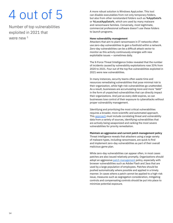# 4 out of 5

Number of top vulnerabilities exploited in 2021 that were new <sup>1</sup>

A more robust solution is Windows AppLocker. This tool can disable executables from not only temporary folders, but also from other nonstandard folders such as %AppData% or %LocalAppData%, which are used by many malware and ransomware families. Conversely, most legitimate, commercial professional software doesn't use these folders to launch programs.

#### **Hone vulnerability management**

Attackers that aim to plant ransomware in IT networks often use zero-day vulnerabilities to gain a foothold within a network. Zero-day vulnerabilities can be a difficult attack vector to monitor as this activity continuously emerges with new exploitable issues — sometimes daily.

The X-Force Threat Intelligence Index revealed that the number of incidents caused by vulnerability exploitations rose 33% from 2020 to 2021. Four out of the top five vulnerabilities exploited in 2021 were new vulnerabilities.

In many instances, security teams often waste time and resources remediating vulnerabilities that pose minimal risk to their organization, while high-risk vulnerabilities go unattended. As a result, businesses are accumulating more and more "debt" in the form of unpatched vulnerabilities that can directly impact their organizations. And just as every debt expires, so can businesses lose control of their exposure to cyberattacks without proper vulnerability management.

[Identifying and prioritizing the most critical vulnerabilities](https://www.ibm.com/case-studies/data-action/)  [requires a broader, more scientific and automated approach](https://www.ibm.com/case-studies/data-action/). This **approach** must include correlating threat and vulnerability data from a variety of sources, identifying vulnerabilities that are actively being weaponized and ranking the most severe vulnerabilities for priority remediation.

**Maintain an aggressive and current patch management policy** Threat intelligence reveals that attackers using a large variety of malware types, including ransomware, are quick to find and implement zero-day vulnerabilities as part of their overall malicious game plan.

While zero-day vulnerabilities can appear often, in most cases patches are also issued relatively promptly. Organizations should adopt an aggressive [patch management](https://www.hcltechsw.com/products/bigfix/home) policy, especially with browser vulnerabilities such as Adobe Flash and Java that are used by a large population of employees. Patches should be pushed automatically where possible and applied in a timely manner. In cases where a patch cannot be applied to a high-risk issue, measures such as segregation consideration, mitigating controls and compensating controls should be put into place to minimize potential exposure.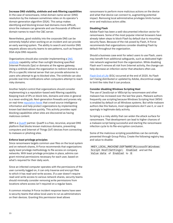#### **Increase DNS visibility, sinkhole and web filtering capabilities**

In the case of ransomware, initial domain name server (DNS) resolution by the malware sometimes relies on its operator's domain generation algorithm (DGA). This setup makes identifying and blocking known bad domains more difficult, since the malware can generate and use thousands of different domain names to reach the C&C server.

Nevertheless, good visibility into the corporate DNS can be extremely helpful when working on an incident and can provide an early warning system. The ability to search and monitor DNS requests allows security teams to see patterns, such as frequent DGA-style DNS requests.

Organizations should also consider implementing a **DNS** [sinkhole](https://en.wikipedia.org/wiki/DNS_sinkhole) capability rather than outright blocking specified Internet Protocols (Ips) or domains at the egress gateway. Using a sinkhole allows the organization to redirect domains and IPs to a specific internal server that can provide advisories to users who attempt to go to blocked sites. The sinkhole can also provide real-time notifications when computers attempt to reach risky domains.

Another helpful control that organizations should consider implementing is a reputation-based web filtering capability. Keeping track of IPs on block lists, domains and sites in general is a never-ending job. Next-generation firewalls and proxies rely on real-time **[reputation feeds](https://www.quad9.net/)** that crowd source intelligence information and help protect organizations by implementing known bad destinations quickly. This activity provides rapid blocking capabilities when sites are discovered as having malicious content.

IBM is a [Quad9](https://www.quad9.net/) partner. Quad9 is a free, recursive, anycast DNS platform that blocks known malicious domains, preventing computers and Internet of Things (IoT) devices from connecting to malware or phishing sites.

#### **Enforce least privilege principles**

Since ransomware targets common user files on the local system and on network shares, X-Force recommends that organizations apply least privilege methodology to file access on company networks. With least privilege principles in place, admins can grant minimal permissions necessary for each user, based on what's required for their daily work.

Since an infected computer operates with the permissions of the user currently logged on, it can only traverse and encrypt files to which it has read-and-write access. If a user doesn't require read-and-write access to various network shares, security teams should minimally consider removing write permissions from locations where access isn't required on a regular basis.

A common misstep X-Force incident response teams have seen is security teams that allow local users to run as administrators on their devices. Granting this permission level allows

ransomware to perform more malicious actions on the device and what that device can connect to, augmenting potential impact. Removing local administrative privileges limits human error and malicious actors alike.

#### **Disabling Flash**

Adobe Flash has been a well-documented infection vector for ransomware. Some of the most popular internet browsers have already taken steps to block Flash by default due to mounting security flaws. Because of the risk posed by Flash, X-Force recommends that organizations consider disabling Flash by default throughout the organization.

Should a business case exist for select users to use Flash, users may benefit from additional safeguards, such as dedicated highrisk network segmented from the organization. While disabling Flash won't remove all risk from Internet activity, the change can help decrease an infection vector that attackers often use.

[Flash End of Life](https://www.adobe.com/il_en/products/flashplayer/end-of-life.html#:~:text=When%20is%20the%20Flash%20Player,(%E2%80%9CEOL%20Date%E2%80%9D).) (EOL) occurred at the end of 2020. As Flash isn't being distributed or updated by Adobe, discontinue usage to limit the risks that it can produce.

#### **Consider disabling Windows Scripting Host**

The use of JavaScript or VBScript by ransomware and other malware has increased over the last few years. Malware authors frequently use scripting because Windows Scripting Host (WSH) is enabled by default on all Windows systems. But while malware authors like this feature, most organizations don't use it, or use it sparingly in legitimate daily activity.

Scripting is a risky ability that can widen the attack surface for ransomware. That development can lead to higher chances of a malware script being successful and starting the ransomware infection cycle to its file-encryption conclusion.

Some of the malicious scripting possibilities can be centrally prevented through Group Policy. Create the following registry key and value to disable:

HKEY\_LOCAL\_MACHINE\SOFTWARE\Microsoft\Windows Script Host\Settings\ Enabled and set the Value data of Enabled to 0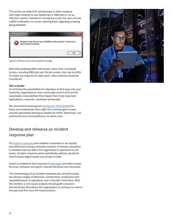This action can help limit ransomware or other malware that might attempt to use JavaScript or VBScript to run an infection routine. Instead of running the script, the user will see a WSH notification on screen warning them regarding scripting being disabled.



Figure 2: Windows Script Host disabled message

Note that disabling WSH will prevent users from running all scripts, including VBScript and JScript scripts, that rely on WSH. If scripts are required for daily work, other controls should be considered.

#### **Hire a hacker**

To minimize the possibilities for attackers to find ways into your networks, organizations must continually work to find and fix exploitable vulnerabilities that impact their most important applications, networks, hardware and people.

We recommend scoping and [testing your environment](https://www.ibm.com/security/services/penetration-testing) for flaws and weaknesses that might let a criminal gain access. Include specialized testing as needed for ATMs, blockchain, IoT, automotive and cloud platforms, to name a few.

# Develop and rehearse an incident response plan

An [incident response](https://www.ibm.com/security/incident-response?lnk=STW_US_STESCH&lnk2=learn_Securitygen&pexp=DEF&psrc=NONE&mhsrc=ibmsearch_a&mhq=incident%20response) plan enables companies to act quickly and effectively during a stressful situation of threats, disruption or disaster that can affect the organization's operations on all levels. Incident response plans specifically address situations that threaten digital assets and access to data.

A plan is created so that response is [thorough,](https://www.ibm.com/qradar/security-qradar-soar) and when issues do arise, confusion and panic-induced decisions are minimized.

The methodology of an incident response plan should include the obvious stages of detection, containment, eradication and reestablishment of operations, but it shouldn't end there. After the incident, a root cause analysis should guide a lessonslearned phase that allows the organization to continue to mature the plan and fine-tune the future actions.

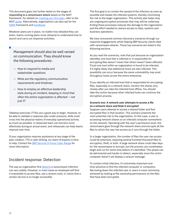This document goes into further detail on the stages of responding to a ransomware attack based on the NIST framework. For details on **creating your first plan**, refer to the NIST [guide](https://nvlpubs.nist.gov/nistpubs/SpecialPublications/NIST.SP.800-61r2.pdf). Alternatively, organizations can also opt for the [SANS](https://www.sans.org/) framework and [handbook](https://www.sans.org/reading-room/whitepapers/incident/paper/33901).

Whatever plans are in place, no matter how detailed they can seem, teams running plans must rehearse to understand how to launch and carry out response activities.

Management should also be well versed on communication. They should know the following procedures:

- How to respond to media and stakeholder questions
- What are the regulatory communication requirements and timelines
- How to employ an effective leadership style during an incident, keeping in mind that often the entire organization is affected — not just IT

Tabletop exercises (TTXs) are a good way to begin. However, to be able to validate a response plan under pressure, drills must cross into the physical realms of everyday operational activity as much as possible. A rehearsed team can function more effectively during an actual event, and rehearsals can help teams improve over time.

If your organization requires assistance at any stage of the plan creation, TTX or plan drilling, our team of experts is here to help. Contact the **IBM Security X-Force Cyber Range for** more information.

### Incident response: Detection

The way an organization first [detects](https://www.ibm.com/case-studies/novaland/) a ransomware infection can vary widely. However, in most cases an employee will find it impossible to access files, see a ransom note, or notice that a certain service is no longer accessible.

The first goal is to contain the spread of the infection as soon as possible and isolate the infected systems, thereby minimizing the risk to the larger organization. This activity also helps stop any ongoing encryption processes that may still be underway. Ending these processes reduces the damage to the organization and the effort needed to restore access to data, systems and business operations.

We have uncovered common discovery scenarios through our response engagements while helping IBM Security clients deal with ransomware attacks. Those top scenarios are listed in the following sections.

As you read the scenarios, note that just because an organization identifies one host that is infected or is responsible for encrypting files doesn't mean that others haven't been affected. If just one host within an organization is found to be infected, it's highly likely that additional hosts are also infected. This possibility can occur because the same vulnerability may exist throughout hosts across the entire enterprise.

If you identify an infected host that is responsible for encrypting files, especially on a network share, monitor the shares very closely after you take the infected host offline. You should take this action because other infected hosts can continue the encryption process.

#### **Scenario one: A network user attempts to access a file on a network share and finds it encrypted**

Suppose users attempt to access a shared folder and find encrypted files in that location. This scenario presents the most potential risk to the organization. In this case, a user is accessing network shares on an infected computer somewhere on the network. Operating with the user's permission level, the ransomware goes through the network share and encrypts all the files to which the user has access as it runs through the folder.

In a larger organization, the number of files the user can access could be extensive, exposing several hundred thousand files to encryption, theft, or both. A large network share could take days for the ransomware to encrypt, but the process can nonetheless begin and run for some time before it's identified. This phase can be detrimental and harder to detect, especially since the victim computer doesn't yet display a ransom message.

To contain initial infection, it's extremely important and time sensitive to find the infected computer or computers. Narrowing down the infected user or users is most commonly achieved by looking at file ownership permissions on the files that have been encrypted.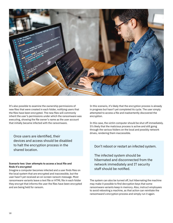

It's also possible to examine the ownership permissions of new files that were created in each folder, notifying users that the files have been encrypted. The new files will commonly inherit the user's permissions under which the ransomware was executing, showing the file owner's name as the user account that initially became infected with the ransomware.

Once users are identified, their devices and access should be disabled to halt the encryption process in the shared location.

#### **Scenario two: User attempts to access a local file and finds it's encrypted**

Imagine a computer becomes infected and a user finds files on the local system that are encrypted and inaccessible, but the user hasn't yet received an on-screen ransom message. Most ransomware variants leave a text file or HTML file in each folder they encrypt that informs the user the files have been encrypted and are being held for ransom.

In this scenario, it's likely that the encryption process is already in progress but hasn't yet completed its cycle. The user simply attempted to access a file and inadvertently discovered the encryption.

In this case, the victim computer should be shut off immediately. It's likely that the malicious process is active and still going through the various folders on the local and possibly network drives, rendering them inaccessible.

#### Don't reboot or restart an infected system.

The infected system should be hibernated and disconnected from the network immediately and IT security staff should be notified.

The system can also be turned off, but hibernating the machine may make it possible to find decryption keys that some ransomware variants keep in memory. Also, instruct employees to avoid rebooting a machine, as that action can reinitiate the ransomware's encryption process and simply run it again.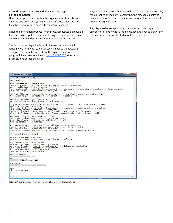#### **Scenario three: User received a ransom message on their computer**

Here, employee devices within the organization silently become infected and begin encrypting all the user's local files and the files the user may have access to on network shares.

When the encryption process is complete, a message displays on the infected computer's screen notifying the user their files have been encrypted and providing a method to pay the ransom.

The text of a message displayed to the user varies for each ransomware family but can often look similar to the following example. The sample note is from the Ryuk ransomware gang, which was responsible for [many 2019-2020](https://securityboulevard.com/2020/05/increase-in-ransomware-demand-amounts-driven-by-ryuk-sodinokibi/) attacks on organizations across the globe.

Beyond notifying users that they're infected and helping security teams realize an incident is occurring, the message displayed can help determine which ransomware variant has been used to attack the organization.

Any displayed messages should be captured by taking a screenshot or photo with a mobile device and kept as part of the forensic information collected about the incident.

| RyukReadMe.txt - Notepad                                                                                                                                                                                                                                                                                                                                                                                                                                | $\mathbf{z} = \mathbf{z} - \mathbf{y}$ |  |  |  |
|---------------------------------------------------------------------------------------------------------------------------------------------------------------------------------------------------------------------------------------------------------------------------------------------------------------------------------------------------------------------------------------------------------------------------------------------------------|----------------------------------------|--|--|--|
| File Edit Format View Help                                                                                                                                                                                                                                                                                                                                                                                                                              |                                        |  |  |  |
| Gent lemen!                                                                                                                                                                                                                                                                                                                                                                                                                                             |                                        |  |  |  |
| Your business is at serious risk.<br>There is a significant hole in the security system of your company.<br>we've easily penetrated your network.<br>you should thank the Lord for being hacked by serious people not some stupid schoolboys or dangerous punks.<br>They can damage all your important data just for fun.                                                                                                                               |                                        |  |  |  |
| Now your files are crypted with the strongest millitary algorithms RSA4096 and AES-256.<br>No one can help you to restore files without our special decoder.                                                                                                                                                                                                                                                                                            |                                        |  |  |  |
| Photorec, RannohDecryptor etc. repair tools<br>are useless and can destroy your files irreversibly.                                                                                                                                                                                                                                                                                                                                                     |                                        |  |  |  |
| If you want to restore your files write to emails (contacts are at the bottom of the sheet)<br>and attach 2-3 encrypted files<br>(Less than 5 Mb each, non-archived and your files should not contain valuable information<br>(Databases, backups, large excel sheets, etc.)).<br>You will receive decrypted samples and our conditions how to get the decoder.<br>Please don't forget to write the name of your company in the subject of your e-mail. |                                        |  |  |  |
| You have to pay for decryption in Bitcoins.<br>The final price depends on how fast you write to us.<br>Every day of delay will cost you additional +0.5 BTC<br>Nothing personal just business                                                                                                                                                                                                                                                           |                                        |  |  |  |
| As soon as we get bitcoins you'll get all your decrypted data back.<br>Moreover you will get instructions how to close the hole in security<br>and how to avoid such problems in the future<br>+ we will recommend you special software that makes the most problems to hackers.                                                                                                                                                                        |                                        |  |  |  |
| Attention! One more time !                                                                                                                                                                                                                                                                                                                                                                                                                              |                                        |  |  |  |
| Do not rename encrypted files.<br>Do not try to decrypt your data using third party software.                                                                                                                                                                                                                                                                                                                                                           |                                        |  |  |  |
| P.S. Remember, we are not scammers.<br>We don`t need your files and your information.<br>But after 2 weeks all your files and keys will be deleted automatically.<br>Just send a request immediately after infection.<br>All data will be restored absolutely.<br>Your warranty - decrypted samples.                                                                                                                                                    |                                        |  |  |  |
| contact emails                                                                                                                                                                                                                                                                                                                                                                                                                                          |                                        |  |  |  |
| or<br>@protonmail.com                                                                                                                                                                                                                                                                                                                                                                                                                                   |                                        |  |  |  |
| BTC wallet:                                                                                                                                                                                                                                                                                                                                                                                                                                             |                                        |  |  |  |
| Ryuk<br>No system is safe                                                                                                                                                                                                                                                                                                                                                                                                                               |                                        |  |  |  |
|                                                                                                                                                                                                                                                                                                                                                                                                                                                         |                                        |  |  |  |

Figure 3: Sample message from ransomware attackers – in this case, Ryuk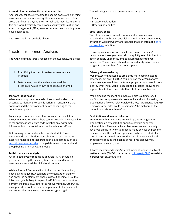#### **Scenario four: massive file manipulation alert**

Another way for security teams to become aware of an ongoing ransomware situation is seeing file manipulation thresholds cross significantly beyond their normal daily records. An alert of this sort would typically come from a security information and event management (SIEM) solution where corresponding rules have been set up.

The next step is the analysis phase.

# Incident response: Analysis

The Analysis phase largely focuses on the two following areas:

- 1. Identifying the specific variant of ransomware in action
- 2. Determining how the malware entered the organization, also known as root cause analysis

#### **Malware identification**

When embarking on an analysis phase of an incident, it's essential to identify the specific variant of ransomware that compromised the environment before advancing to the containment phase.

For example, some versions of ransomware can use lateral movement features while others cannot. Knowing the capabilities of the specific ransomware code infecting an environment influences both the containment and eradication efforts.

Determining the variant can be complicated. X-Force recommends organizations consult internal subject matter experts or access external professional assistance such as a [security services provider](https://www.ibm.com/security/services/ibm-x-force-incident-response-and-intelligence) to help determine the variant and group behind a ransomware infection.

#### **Initial root cause analysis**

An abridged level of root cause analysis (RCA) should be performed to help the security team understand how the ransomware entered the digital environment.

While a formal RCA can wait until the post-incident activity phase, an abridged RCA can help the organization plan for and enter the containment phase. Without an initial RCA, the infection cycle is likely to repeat itself. It's also important to perform the initial RCA before the recovery phase. Otherwise, an organization could expend a large amount of time and effort recovering files only to see them re-encrypted again.

The following areas are some common entry points:

- Email
- Browser exploitation
- Other vulnerabilities

#### **Email entry point**

Two of ransomware's most common entry points into an organization are through unsolicited email with an attachment, or through web browser vulnerabilities that can attempt a [drive](https://www.cio.com/article/2448967/6-ways-to-defend-against-drive-by-downloads.html)[by download](https://www.cio.com/article/2448967/6-ways-to-defend-against-drive-by-downloads.html) infection.

If an employee receives an unsolicited email containing ransomware, the organization should quickly search to identify other, possibly unopened, emails in additional employee mailboxes. These emails should be immediately extracted and purged to prevent them from being opened.

#### **Drive-by download entry**

Web browser vulnerabilities are a little more complicated to determine, but an initial RCA could rely on the organization's patch management infrastructure. A proper analysis would help identify what initial website caused the infection, allowing the organization to block access to that site from its networks.

While blocking the identified malicious site is a first step, it won't protect employees who are mobile and not blocked by the organization's firewall rules outside the local area network (LAN). Moreover, other sites could be spreading the malware at the same time or shortly thereafter.

#### **Exploitation and manual infection**

Another way that ransomware-wielding attackers get into organizations is by exploiting specific software or server vulnerabilities. These attackers plant ransomware manually in key areas on the network to infect as many devices as possible. In some cases, the malicious process can be set to start at a specific time. Criminals may set the start time on a weekend or holiday to reduce the chance of real-time discovery by employees or security staff.

X-Force recommends using internal incident response subject matter experts (SMEs) or an external [third-party SME](https://www.ibm.com/security/services/ibm-x-force-incident-response-and-intelligence) to assist in a proper root cause analysis.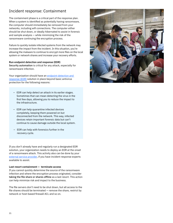# Incident response: Containment

The containment phase is a critical part of the response plan. When a system is identified as potentially having ransomware, the computer should immediately be removed from your networks, including wifi connections. The computer either should be shut down, or ideally hibernated to assist in forensic and sample analysis — while minimizing the risk of the ransomware continuing the encryption process.

Failure to quickly isolate infected systems from the network may increase the impact from the incident. In this situation, you're allowing the malware to continue to encrypt more files on the local system or network shares and increase your recovery efforts.

#### **Run endpoint detection and response (EDR)**

Security automation is critical for any attack, especially for ransomware infection.

Your organization should have an endpoint detection and [response \(EDR\)](https://www.ibm.com/products/reaqta) solution in place beyond basic antivirus protection for the following reasons:

- EDR can help detect an attack in its earlier stages. Sometimes that can mean detecting the virus in the first few days, allowing you to reduce the impact to the infrastructure.
- EDR can help quarantine infected devices completely, keeping them powered on but disconnected from the network. This way, infected devices retain important forensic data but can't continue to cause damage outside the local system.
- EDR can help with forensics further in the recovery cycle.

If you don't already have and regularly run a designated EDR solution, your organization needs to deploy an EDR at the onset of a ransomware attack. This activity also can be done by your [external service provider](https://www.ibm.com/security/services/managed-detection-response), if you have incident response experts available to assist.

#### **Last resort containment — terminate access**

If you cannot quickly determine the source of the ransomware infection and where the encryption process originated, consider taking the file share or shares offline as a last resort. This action can help minimize risk and impact to the business.

The file servers don't need to be shut down, but all access to the file shares should be terminated — remove the share, restrict by network or host-based firewall ACL and so on.

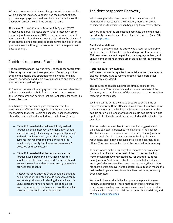It's not recommended that you change permissions on the files within a shared location. Depending on the number of files, permission propagation could take hours and would allow the encryption process to continue during that time.

If you use Microsoft Common Internet File System (CIFS) protocol and Server Message Block (SMB) protocol on other operating systems, including UNIX, Linux and so on, protect these as well. This action can help greatly reduce the chance of these shares being encrypted, as ransomware can exploit these protocols to move through networks and find more places with data to encrypt.

# Incident response: Eradication

The eradication phase involves removing the ransomware from infected systems across the organization. Depending on the scope of the attack, this operation can be lengthy and may involve user devices and more pivotal machines and services the attackers managed to impact.

X-Force recommends that any system that has been identified as infected should be rebuilt from a trusted source. Rely on trusted templates and settings that are kept safely for cases like these infections.

Additionally, root cause analyses may reveal that the ransomware infiltrated the organization through email or mechanisms that other users can access. Those mechanisms should be examined and handled with the following steps:

- If the RCA revealed the malware initially arrived through an email message, the organization should search and purge all existing messages still pending within the mail store. Also, consider isolating any systems that received the email or opened the email until you verify that the ransomware wasn't executed on those systems.
- If the RCA revealed that the ransomware arrived through a web browser exploit, those websites should be blocked and monitored. Then you should assess the need to update or remove any vulnerable browser components.
- Passwords for all affected users should be changed as a precaution. This step should be taken carefully and strategically to avoid alerting the attackers. It's likely attackers have a number of credential sets and may attempt to use them and pivot the attack if their initial access is suddenly revoked.

## Incident response: Recovery

When an organization has contained the ransomware and identified the root cause of the infection, there are several considerations to examine when beginning the recovery phase.

It's very important the organization complete the containment and identify the root cause of the infection before beginning the [recovery process.](https://www.ibm.com/case-studies/micro-strategies-inc/)

#### **Patch vulnerabilities**

If the RCA discovers that the attack was a result of vulnerable systems, those will have to be patched to prevent future attacks. If those systems cannot be patched, then segregate them, and ensure compensating controls are in place in order to minimize exposure risk.

#### **Restoring data from backups**

X-Force recommends organizations initially rely on their internal backup infrastructure to restore affected files before other options are considered.

This requires that a backup process already exists for the affected data. This process should include an analysis of the frequency and completeness of the backups to ensure complete restoration of the data.

It's important to verify the status of backups at the time of required recovery. If the attackers have been in the networks for months encrypting the backups, this status can mean that the backup option is no longer a valid choice. No backup option also applies if files have been silently encrypted and then backed up over time.

Attackers who remain silent in networks for long periods of time also can plant persistence mechanisms in the backups. This tactic ensures they can return to threaten the organization if a ransom isn't paid. A best practice for backups is using redundancy and keeping backups checked and segregated or offline. This practice can help limit the potential for tampering.

In cases where malicious encryption impacts a network share, there's still a chance that several of the most recent backups may contain partially encrypted files. For example, suppose an organization's file share is backed up daily, but an infected employee's device takes five days to encrypt everything on the file share before discovery of the attack. This situation means the last five backups are likely to contain files that have previously been encrypted.

You should have a reliable backup process in place that uses industry best practices. These methods include ensuring that local backups are kept and backups are archived to removable media, such as tapes, optical disks or removable hard disks, and to [cloud-based resources.](https://www.ibm.com/cloud/backup)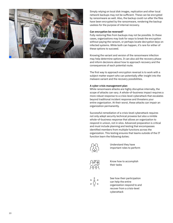

Simply relying on local disk images, replication and other local network backups may not be sufficient. These can be encrypted by ransomware as well. Also, the backup could run after the files have been encrypted by the ransomware, rendering the backup useless for the purpose of internal recovery.

#### **Can encryption be reversed?**

Fully restoring files from backups may not be possible. In these cases, organizations may look for ways to break the encryption without paying the ransom, or perhaps locate decryption keys on infected systems. While both can happen, it's rare for either of these options to succeed.

Knowing the variant and version of the ransomware infection may help determine options. It can also aid the recovery phase and inform decisions about how to approach recovery and the consequences of each potential route.

The first way to approach encryption reversal is to work with a subject matter expert who can potentially offer insight into the malware variant and the recovery possibilities.

#### **A cyber crisis management plan**

While ransomware attacks are highly disruptive internally, the scope of attacks can vary. A whole-of-business impact requires a more robust response to a crisis-level cyberattack that escalates beyond traditional incident response and threatens your entire organization. At their worst, these attacks can impair an organization permanently.

Successful remediation of a crisis-level cyberattack requires not only adept security technical prowess but also a nimble whole-of-business response that allows an organization to respond in unison, not in silos. Advanced preparation is critical and must include planning and testing that encompasses identified members from multiple functions across the organization. This testing ensures that teams outside of the IT function learn the following duties:



Understand they have important roles to perform



Know how to accomplish their tasks



See how their participation can help the entire organization respond to and recover from a crisis-level cyberattack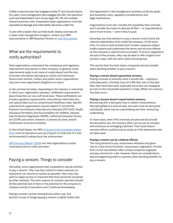Unlike a response plan that engages mostly IT and security teams, the cyber crisis management plan engages the CEO, the executive suite and stakeholders from across legal, PR, HR and multiple relevant business units. Preparation helps organizations minimize reputational damage and make better decisions under fire.

To join with a leader that can help build, deploy and execute a cyber crisis management program, contact your IBM representative or IBM Business Partner, or [visit this website](https://www.ibm.com/security/services/incidentresponse-services).

# What are the requirements to notify authorities?

Most organizations understand the compliance and regulatory requirements that pertain to their company. In general, those requirements apply to all cases of a data breach and the loss of private information belonging to clients and individuals. Government entities, military and public sector organizations may have more specialized obligations to report.

In the commercial realm, depending on the industry or industries in which your organization operates, notification requirements about breaches can vary with local laws. These notifications can include regulatory requirements, international client data loss and special data such as compromised healthcare data. Specific requirements organizations may be subject to include the Payment Card Industry Data Security Standard (PCI-DSS), Health Insurance Portability and Accountability Act (HIPAA), General Data Protection Regulation (GDPR), California Consumer Privacy Act (CCPA) and others. However, in almost all cases, breach notifications must be immediate.

In the United States, the FBI's [Internet Crime Complaint Center](https://www.ic3.gov/Home/FileComplaint)  [\(IC3\)](https://www.ic3.gov/Home/FileComplaint) must be alerted as soon as a breach is confirmed. It's also recommended to advise local law enforcement.

IBM Security QRadar<sup>®</sup> SOAR can help organizations quickly understand who to notify and when.

### Paying a ransom: Things to consider

Ultimately, some organizations feel compelled to decide whether to pay a ransom. They may feel rushed to make a decision so operations can resume as quickly as possible. Also, they may want to regain access to important files that cannot be recovered by other methods. The main reasons to consider payment should be the potential loss of lives or the potential for the company to collapse entirely if operations aren't restored immediately.

Paying a ransom carries consequences either way. Any decision to pay or forego paying a ransom is tightly linked with the organization's risk management, business continuity goals and downtime costs, regulatory considerations and legal implications.

Organizations must also consider the possibility that criminals won't provide the means to decrypt all files — or may attempt to extort more money — even if they're paid.

Generally, any final decision to pay a ransom must involve the relevant stakeholders from inside the company. At the same time, it's wise to seek counsel from incident response subject matter experts and understand the terms and services offered by the company's cyberinsurance provider. If ransom negotiators are part of the process, they may be able to offer insights from previous cases with the same cybercriminal group.

This section lists the main topics companies should consider when deciding whether to pay a ransom.

#### **Paying a ransom doesn't guarantee recovery**

Paying criminals is precisely what it sounds like — paying an untrusted party. Criminals may not fulfill their part of the deal after they have been paid, especially since they can disappear as soon as the irreversible payment is made. While not common, this does occur.

#### **Paying a ransom doesn't equal instant recovery**

Recovering with a decryption key is seldom instantaneous. Decrypting files is a manual task, and each must be decrypted individually, which can be a painstaking and time-consuming undertaking.

In most cases, even if the criminals are paid and do provide the decryption key, the recovery effort can be just as complex and strenuous as reimaging machines. That result means recovery efforts could be just as costly as if the adversaries had not been paid.

#### **Paying a ransom can be a federal offense**

The rising demand to pay ransomware attackers has given rise to a new kind of business: ransomware negotiators. Private firms in this new domain offer to help companies negotiate and pay ransoms for a fee. However, there are considerations beyond negotiating skills to examine when deciding whether to pay a ransom.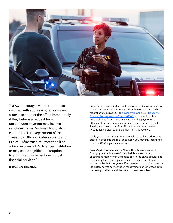

"OFAC encourages victims and those involved with addressing ransomware attacks to contact the office immediately if they believe a request for a ransomware payment may involve a sanctions nexus. Victims should also contact the U.S. Department of the Treasury's Office of Cybersecurity and Critical Infrastructure Protection if an attack involves a U.S. financial institution or may cause significant disruption to a firm's ability to perform critical financial services."2

**Instructions from OFAC**

Some countries are under sanctions by the U.S. government, so paying ransom to cybercriminals from those countries can be a federal offense. In 2020, an advisory from the U.S. Treasury's [Office of Foreign Assets Control \(OFAC\)](https://home.treasury.gov/system/files/126/ofac_ransomware_advisory_10012020_1.pdf) served notice about potential fines for all those involved in aiding payments to attackers from sanctioned countries. Those countries include Russia, North Korea and Iran. Firms that offer ransomware negotiation services aren't exempt from this advisory.

While your organization may not be able to readily attribute the attack to a specific group or geography, you may still incur fines from the OFAC if you pay a ransom.

#### **Paying cybercriminals strengthens their business model**

Paying cybercriminals reinforces their business model, encourages more criminals to take part in the same activity, and continually funds both cybercrime and other crimes that are supported by that ecosystem. Keep in mind that paying a ransom ultimately serves as motivation for adversaries to increase both frequency of attacks and the price of the ransom itself.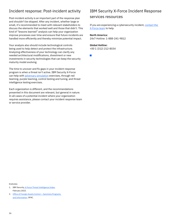# Incident response: Post-incident activity

Post-incident activity is an important part of the response plan and shouldn't be skipped. After any incident, whether large or small, it's recommended to meet with relevant stakeholders to discuss the elements that worked well and those that didn't. This kind of "lessons learned" analysis can help your organization improve processes over time and ensure that future incidents are handled more efficiently and thereby minimize potential impact.

Your analysis also should include technological controls being used to help detect and protect the infrastructure. Analyzing effectiveness of your technology can clarify any needed architectural modifications, divestment or new investments in security technologies that can keep the security maturity model evolving.

The time to uncover and fix gaps in your incident response program is when a threat isn't active. IBM Security X-Force can help with *[adversary simulation](https://www.ibm.com/security/services/adversary-simulation-services)* exercises, through red teaming, purple teaming, control testing and tuning, and threat intelligence testing exercises.

Each organization is different, and the recommendations presented in this document are relevant, but general in nature. In all cases of a potential incident where your organization requires assistance, please contact your incident response team or service provider.

# IBM Security X-Force Incident Response services resources

If you are experiencing a cybersecurity incident, [contact the](https://www.ibm.com/security/services/incident-response-services?schedulerform)  [X-Force team](https://www.ibm.com/security/services/incident-response-services?schedulerform) to help.

#### **North America:**

24x7 Hotline: 1-888-241-9812

#### **Global Hotline:**

+00 1 (312) 212-8034

 $\mathbb{R}^n$ 

Endnotes

- 1. IBM Security, [X-Force Threat Intelligence Index,](https://www.ibm.com/security/data-breach/threat-intelligence/ ) February 2022.
- 2. [Office of Foreign Assets Control Sanctions Programs](https://home.treasury.gov/policy-issues/office-of-foreign-assets-control-sanctions-programs-and-information)  [and Information,](https://home.treasury.gov/policy-issues/office-of-foreign-assets-control-sanctions-programs-and-information) OFAC.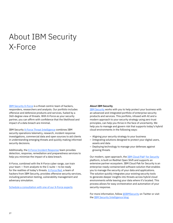# About IBM Security X-Force

[IBM Security X-Force](https://www.ibm.com/security/xforce) is a threat-centric team of hackers, responders, researchers and analysts. Our portfolio includes offensive and defensive products and services, fueled by a 360-degree view of threats. With X-Force as your security partner, you can affirm with confidence that the likelihood and impact of a data breach are minimal.

IBM Security [X-Force Threat Intelligence](https://www.ibm.com/security/services/threat-intelligence) combines IBM security operations telemetry, research, incident response investigations, commercial data and open sources to aid clients in understanding emerging threats and quickly making informed security decisions.

Additionally, the [X-Force Incident Response](https://www.ibm.com/security/services/incident-response-services) team provides detection, response, remediation and preparedness services to help you minimize the impact of a data breach.

X-Force, combined with the X-Force cyber range, can train your team — from analysts to the C-suite — to be ready for the realities of today's threats. [X-Force Red](https://www.ibm.com/security/services/offensive-security-services), a team of hackers from IBM Security, provides offensive security services, including penetration testing, vulnerability management and adversary simulation.

[Schedule a consultation with one of our X-Force experts](https://www.ibm.com/security/services/ibm-x-force-incident-response-and-intelligence?schedulerform)

#### **About IBM Security**

**[IBM Security](http://www.ibm.com/security) works with you to help protect your business with** an advanced and integrated portfolio of enterprise security products and services. This portfolio, infused with AI and a modern approach to your security strategy using zero trust principles, can help you thrive in the face of uncertainty. We help you to manage and govern risk that supports today's hybrid cloud environments in the following ways:

- Aligning your security strategy to your business
- Integrating solutions designed to protect your digital users, assets and data
- Deploying technology to manage your defenses against growing threats

Our modern, open approach, the [IBM Cloud Pak® for Security](https://www.ibm.com/products/cloud-pak-for-security) platform, is built on RedHat Open Shift and supports an extensive partner ecosystem. IBM Cloud Pak for Security is an enterprise-ready containerized software solution that enables you to manage the security of your data and applications. The solution quickly integrates your existing security tools to generate deeper insights into threats across hybrid cloud environments while leaving your data where it's located. This process allows for easy orchestration and automation of your security response.

For more information, follow [@IBMSecurity](https://c212.net/c/link/?t=0&l=en&o=2433262-1&h=2941630816&u=https%3A%2F%2Ftwitter.com%2Fibmsecurity&a=IBMSecurity) on Twitter or visit the [IBM Security Intelligence blog](https://securityintelligence.com/).